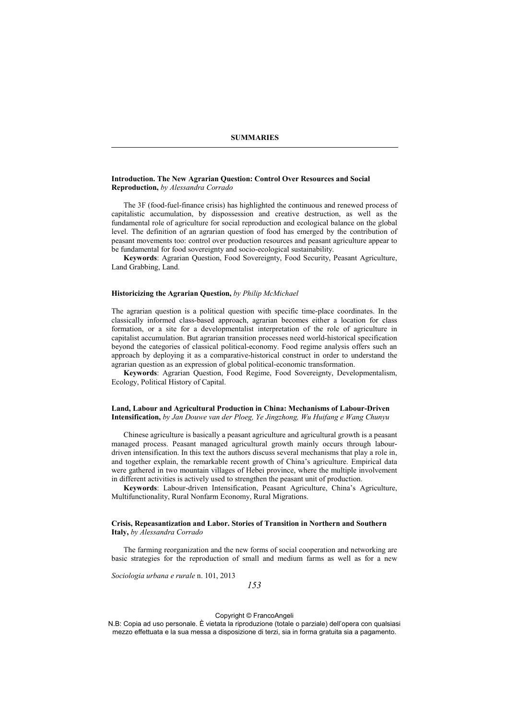#### **Introduction. The New Agrarian Question: Control Over Resources and Social Reproduction,** *by Alessandra Corrado*

The 3F (food-fuel-finance crisis) has highlighted the continuous and renewed process of capitalistic accumulation, by dispossession and creative destruction, as well as the fundamental role of agriculture for social reproduction and ecological balance on the global level. The definition of an agrarian question of food has emerged by the contribution of peasant movements too: control over production resources and peasant agriculture appear to be fundamental for food sovereignty and socio-ecological sustainability.

**Keywords**: Agrarian Question, Food Sovereignty, Food Security, Peasant Agriculture, Land Grabbing, Land.

#### **Historicizing the Agrarian Question,** *by Philip McMichael*

The agrarian question is a political question with specific time-place coordinates. In the classically informed class-based approach, agrarian becomes either a location for class formation, or a site for a developmentalist interpretation of the role of agriculture in capitalist accumulation. But agrarian transition processes need world-historical specification beyond the categories of classical political-economy. Food regime analysis offers such an approach by deploying it as a comparative-historical construct in order to understand the agrarian question as an expression of global political-economic transformation.

**Keywords**: Agrarian Question, Food Regime, Food Sovereignty, Developmentalism, Ecology, Political History of Capital.

## **Land, Labour and Agricultural Production in China: Mechanisms of Labour-Driven Intensification,** *by Jan Douwe van der Ploeg, Ye Jingzhong, Wu Huifang e Wang Chunyu*

Chinese agriculture is basically a peasant agriculture and agricultural growth is a peasant managed process. Peasant managed agricultural growth mainly occurs through labour driven intensification. In this text the authors discuss several mechanisms that play a role in, and together explain, the remarkable recent growth of China's agriculture. Empirical data were gathered in two mountain villages of Hebei province, where the multiple involvement in different activities is actively used to strengthen the peasant unit of production.

**Keywords**: Labour-driven Intensification, Peasant Agriculture, China's Agriculture, Multifunctionality, Rural Nonfarm Economy, Rural Migrations.

#### **Crisis, Repeasantization and Labor. Stories of Transition in Northern and Southern Italy,** *by Alessandra Corrado*

The farming reorganization and the new forms of social cooperation and networking are basic strategies for the reproduction of small and medium farms as well as for a new

*Sociologia urbana e rurale* n. 101, 2013

*153*

#### Copyright © FrancoAngeli

N.B: Copia ad uso personale. È vietata la riproduzione (totale o parziale) dell'opera con qualsiasi mezzo effettuata e la sua messa a disposizione di terzi, sia in forma gratuita sia a pagamento.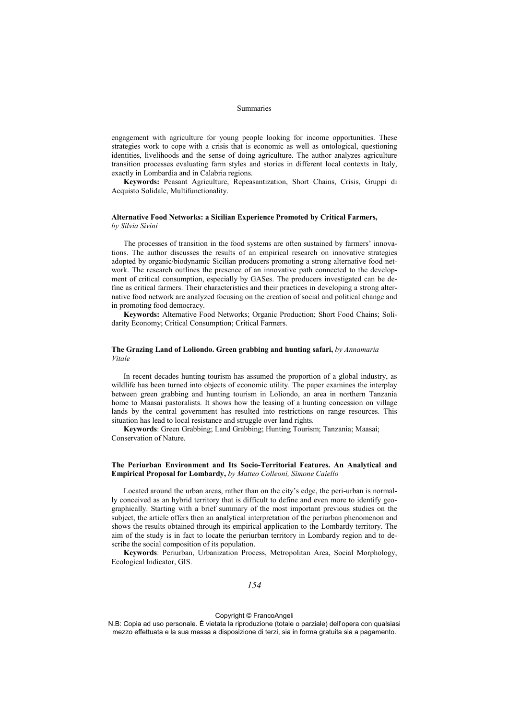#### Summaries

engagement with agriculture for young people looking for income opportunities. These strategies work to cope with a crisis that is economic as well as ontological, questioning identities, livelihoods and the sense of doing agriculture. The author analyzes agriculture transition processes evaluating farm styles and stories in different local contexts in Italy, exactly in Lombardia and in Calabria regions.

**Keywords:** Peasant Agriculture, Repeasantization, Short Chains, Crisis, Gruppi di Acquisto Solidale, Multifunctionality.

# **Alternative Food Networks: a Sicilian Experience Promoted by Critical Farmers,**

*by Silvia Sivini*

The processes of transition in the food systems are often sustained by farmers' innovations. The author discusses the results of an empirical research on innovative strategies adopted by organic/biodynamic Sicilian producers promoting a strong alternative food network. The research outlines the presence of an innovative path connected to the development of critical consumption, especially by GASes. The producers investigated can be define as critical farmers. Their characteristics and their practices in developing a strong alter native food network are analyzed focusing on the creation of social and political change and in promoting food democracy.

**Keywords:** Alternative Food Networks; Organic Production; Short Food Chains; Solidarity Economy; Critical Consumption; Critical Farmers.

## **The Grazing Land of Loliondo. Green grabbing and hunting safari,** *by Annamaria Vitale*

In recent decades hunting tourism has assumed the proportion of a global industry, as wildlife has been turned into objects of economic utility. The paper examines the interplay between green grabbing and hunting tourism in Loliondo, an area in northern Tanzania home to Maasai pastoralists. It shows how the leasing of a hunting concession on village lands by the central government has resulted into restrictions on range resources. This situation has lead to local resistance and struggle over land rights.

**Keywords**: Green Grabbing; Land Grabbing; Hunting Tourism; Tanzania; Maasai; Conservation of Nature.

## **The Periurban Environment and Its Socio-Territorial Features. An Analytical and Empirical Proposal for Lombardy,** *by Matteo Colleoni, Simone Caiello*

Located around the urban areas, rather than on the city's edge, the peri-urban is normally conceived as an hybrid territory that is difficult to define and even more to identify geo graphically. Starting with a brief summary of the most important previous studies on the subject, the article offers then an analytical interpretation of the periurban phenomenon and shows the results obtained through its empirical application to the Lombardy territory. The aim of the study is in fact to locate the periurban territory in Lombardy region and to de scribe the social composition of its population.

**Keywords**: Periurban, Urbanization Process, Metropolitan Area, Social Morphology, Ecological Indicator, GIS.

## *154*

#### Copyright © FrancoAngeli

N.B: Copia ad uso personale. È vietata la riproduzione (totale o parziale) dell'opera con qualsiasi mezzo effettuata e la sua messa a disposizione di terzi, sia in forma gratuita sia a pagamento.